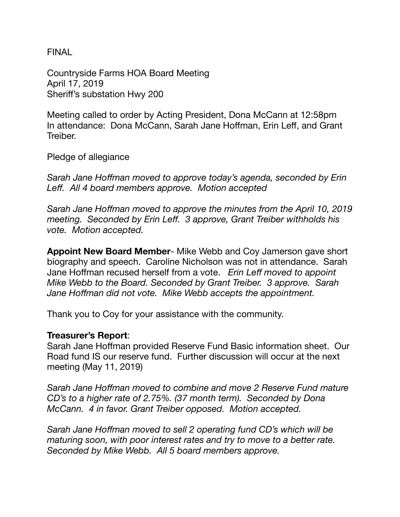**FINAL** 

Countryside Farms HOA Board Meeting April 17, 2019 Sheriff's substation Hwy 200

Meeting called to order by Acting President, Dona McCann at 12:58pm In attendance: Dona McCann, Sarah Jane Hoffman, Erin Leff, and Grant Treiber.

Pledge of allegiance

*Sarah Jane Hoffman moved to approve today's agenda, seconded by Erin Leff. All 4 board members approve. Motion accepted* 

*Sarah Jane Hoffman moved to approve the minutes from the April 10, 2019 meeting. Seconded by Erin Leff. 3 approve, Grant Treiber withholds his vote. Motion accepted.* 

**Appoint New Board Member**- Mike Webb and Coy Jamerson gave short biography and speech. Caroline Nicholson was not in attendance. Sarah Jane Hoffman recused herself from a vote. *Erin Leff moved to appoint Mike Webb to the Board. Seconded by Grant Treiber. 3 approve. Sarah Jane Hoffman did not vote. Mike Webb accepts the appointment.* 

Thank you to Coy for your assistance with the community.

## **Treasurer's Report**:

Sarah Jane Hoffman provided Reserve Fund Basic information sheet. Our Road fund IS our reserve fund. Further discussion will occur at the next meeting (May 11, 2019)

*Sarah Jane Hoffman moved to combine and move 2 Reserve Fund mature CD's to a higher rate of 2.75%. (37 month term). Seconded by Dona McCann. 4 in favor. Grant Treiber opposed. Motion accepted.* 

*Sarah Jane Hoffman moved to sell 2 operating fund CD's which will be maturing soon, with poor interest rates and try to move to a better rate. Seconded by Mike Webb. All 5 board members approve.*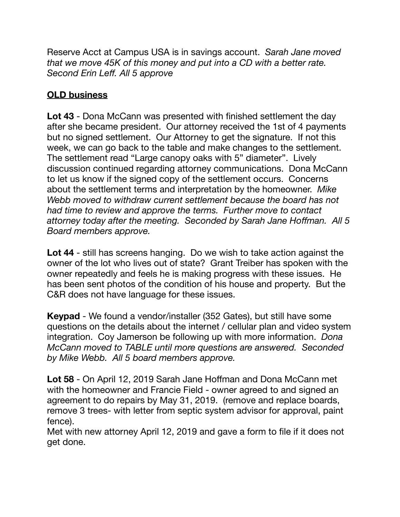Reserve Acct at Campus USA is in savings account. *Sarah Jane moved that we move 45K of this money and put into a CD with a better rate. Second Erin Leff. All 5 approve* 

## **OLD business**

**Lot 43** - Dona McCann was presented with finished settlement the day after she became president. Our attorney received the 1st of 4 payments but no signed settlement. Our Attorney to get the signature. If not this week, we can go back to the table and make changes to the settlement. The settlement read "Large canopy oaks with 5" diameter". Lively discussion continued regarding attorney communications. Dona McCann to let us know if the signed copy of the settlement occurs. Concerns about the settlement terms and interpretation by the homeowner. *Mike Webb moved to withdraw current settlement because the board has not had time to review and approve the terms. Further move to contact attorney today after the meeting. Seconded by Sarah Jane Hoffman. All 5 Board members approve.* 

**Lot 44** - still has screens hanging. Do we wish to take action against the owner of the lot who lives out of state? Grant Treiber has spoken with the owner repeatedly and feels he is making progress with these issues. He has been sent photos of the condition of his house and property. But the C&R does not have language for these issues.

**Keypad** - We found a vendor/installer (352 Gates), but still have some questions on the details about the internet / cellular plan and video system integration. Coy Jamerson be following up with more information. *Dona McCann moved to TABLE until more questions are answered. Seconded by Mike Webb. All 5 board members approve.* 

**Lot 58** - On April 12, 2019 Sarah Jane Hoffman and Dona McCann met with the homeowner and Francie Field - owner agreed to and signed an agreement to do repairs by May 31, 2019. (remove and replace boards, remove 3 trees- with letter from septic system advisor for approval, paint fence).

Met with new attorney April 12, 2019 and gave a form to file if it does not get done.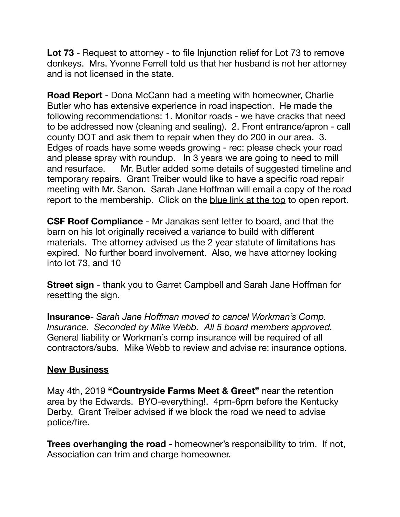**Lot 73** - Request to attorney - to file Injunction relief for Lot 73 to remove donkeys. Mrs. Yvonne Ferrell told us that her husband is not her attorney and is not licensed in the state.

**Road Report** - Dona McCann had a meeting with homeowner, Charlie Butler who has extensive experience in road inspection. He made the following recommendations: 1. Monitor roads - we have cracks that need to be addressed now (cleaning and sealing). 2. Front entrance/apron - call county DOT and ask them to repair when they do 200 in our area. 3. Edges of roads have some weeds growing - rec: please check your road and please spray with roundup. In 3 years we are going to need to mill and resurface. Mr. Butler added some details of suggested timeline and temporary repairs. Grant Treiber would like to have a specific road repair meeting with Mr. Sanon. Sarah Jane Hoffman will email a copy of the road report to the membership. Click on the blue link at the top to open report.

**CSF Roof Compliance** - Mr Janakas sent letter to board, and that the barn on his lot originally received a variance to build with different materials. The attorney advised us the 2 year statute of limitations has expired. No further board involvement. Also, we have attorney looking into lot 73, and 10

**Street sign** - thank you to Garret Campbell and Sarah Jane Hoffman for resetting the sign.

**Insurance**- *Sarah Jane Hoffman moved to cancel Workman's Comp. Insurance. Seconded by Mike Webb. All 5 board members approved.*  General liability or Workman's comp insurance will be required of all contractors/subs. Mike Webb to review and advise re: insurance options.

## **New Business**

May 4th, 2019 **"Countryside Farms Meet & Greet"** near the retention area by the Edwards. BYO-everything!. 4pm-6pm before the Kentucky Derby. Grant Treiber advised if we block the road we need to advise police/fire.

**Trees overhanging the road** - homeowner's responsibility to trim. If not, Association can trim and charge homeowner.